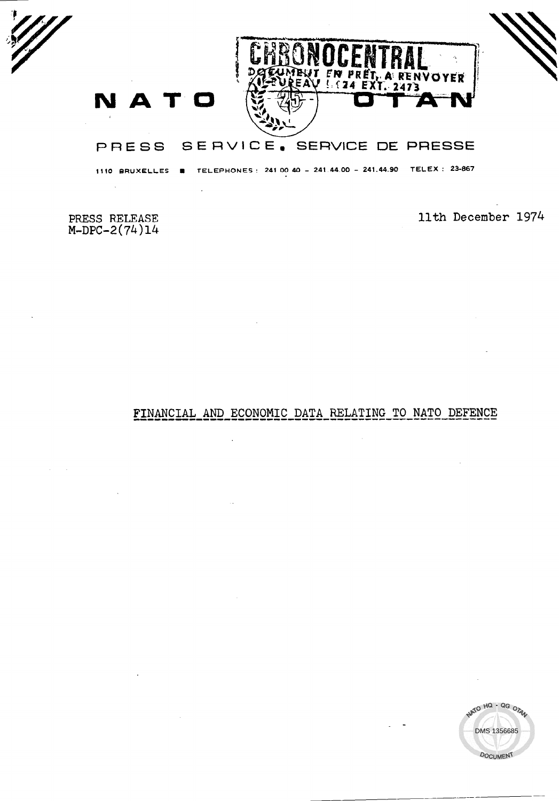

1110 BRUXELLES **R** TELEPHONES: 241.00.40 - 241.44.00 - 241.44.90 TELEX: 23-867

PRESS RELEASE<br>M-DPC-2(74)14

11th December 1974

# FINANCIAL AND ECONOMIC DATA RELATING TO NATO DEFENCE



 $\bar{z}$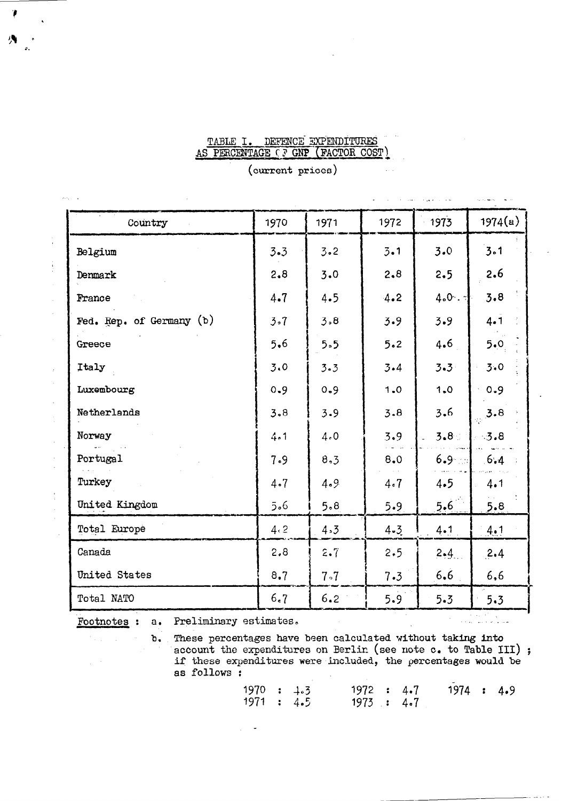### TABLE I. DEFENCE EXPENDITURES AS PERCENTAGE CF GNP (FACTOR COST)

|                          |      |      |         |         | <b>Contractor</b> |
|--------------------------|------|------|---------|---------|-------------------|
| Country                  | 1970 | 1971 | 1972    | 1973    | 1974(a)           |
| Belgium                  | 3.3  | 3.2  | $3 - 1$ | 3.0     | 3.1               |
| Denmark                  | 2.8  | 3.0  | 2.8     | 2.5     | 2.6               |
| France                   | 4.7  | 4.5  | 4.2     | 4.0.7   | 3.8               |
| Fed. Rep. of Germany (b) | 3.7  | 3.8  | 3.9     | 3.9     | $4 - 1$           |
| Greece                   | 5.6  | 5.5  | 5.2     | 4.6     | 5.0               |
| Italy                    | 3.0  | 3.3  | 3.4     | $3 - 3$ | 3.0               |
| Luxembourg               | 0.9  | 0.9  | 1.0     | 1.0     | 0.9               |
| Netherlands              | 3.8  | 3.9  | 3.8     | 3.6     | 3.8               |
| Norway                   | 4.1  | 4.0  | 3.9     | 3.8%    | 3.8               |
| Portugal                 | 7.9  | 8.3  | 8.0     | $6.9 -$ | 6.4               |
| Turkey                   | 4.7  | 4.9. | 4.7     | 4.5     | 4.1               |
| United Kingdom           | 5.6  | 5.8  | 5.9     | 5.6     | 5.8               |
| Total Europe             | 4.2  | 4.3  | 4.3     | 4.1     | 4.1               |
| Canada                   | 2,8  | 2.7  | 2.5     | $2 - 4$ | 2.4               |
| United States            | 8,7  | 7.7  | 7.3     | 6.6     | 6,6               |
| Total NATO               | 6.7  | 6.2  | 5.9     | $5 - 3$ | 5.3               |
|                          |      |      |         |         |                   |

### (current prices)

Footnotes : a. Preliminary estimates,

سالو سال پروژه

 $\mathcal{O}_{\mathcal{A}^{\text{out}}}$  $\bar{u}$ 

 $\mathbb{R}^{2n+1}$ 

b. These percentages have been calculated without taking into account the expenditures on Berlin (see note c. to Table III) ; if these expenditures were included, the percentages would be as follows :

| 1970 : 4.3 |  | 1972 : 4.7 |  | 1974 : 4.9 |  |
|------------|--|------------|--|------------|--|
| 1971 : 4.5 |  | 1973 : 4.7 |  |            |  |

外。

 $\frac{1}{\epsilon}$ 

 $\frac{1}{2}$ 

 $\ddot{\cdot}$ 

 $\ddot{\cdot}$ 

 $\frac{1}{3}$ 

¢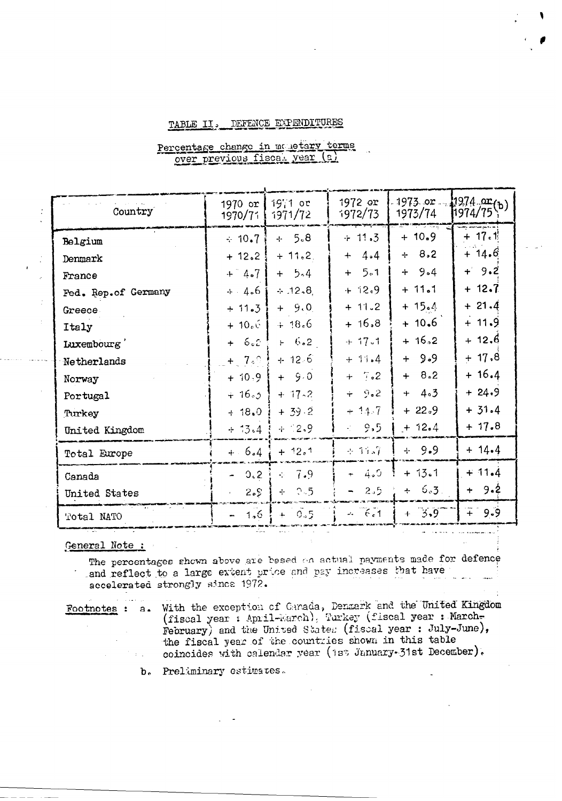#### TABLE II. DEFENCE EXPENDITURES

| Country             | 1970 or<br>1970/71 | 1971 or<br>1971/72 | 1972 or<br>1972/73                    | 1973 or $1974 \frac{or}{or}$ (b)<br>1973/74 | 1974/75                |
|---------------------|--------------------|--------------------|---------------------------------------|---------------------------------------------|------------------------|
| Belgium             | $-10.7$            | $+ 5.8$            | $+11.3$                               | $+ 10.9$                                    | $+ 17.1$               |
| Denmark             | $+12.2$            | $+ 11.2$           | $4 - 4$<br>$+$                        | $+ 8.2$                                     | $+ 14.6$               |
| France              | $+ 4.7$            | $+ 5.4$            | 5.1<br>$+$                            | $+9.4$                                      | $+9.2$                 |
| Fed. Rep.of Germany | $+4.6$             | $\div 12.8$        | $+ 12.9$                              | $+ 11.1$                                    | $+ 12.7$               |
| Greece.             | $+11.3$            | $+9.0$             | $+11.2$                               | $+15.4$                                     | $+21.4$                |
| Italy               | $+ 10e$ 6          | $+18.6$            | $+16.8$                               | $+10.6$                                     | $+ 11.9$               |
| Luxembourg          | - 6.2<br>$+$       | $+ 6.2$            | $+17.1$                               | $+16.2$                                     | + 12.6                 |
| Netherlands         | $+$ 7.0            | $+12.6$            | $+11.4$                               | 9.9<br>$+$                                  | $+17.8$                |
| Norway              | $+10.9$            | $+9.0$             | $+ 7.2$                               | 8.2<br>$+$                                  | $+16.4$                |
| Portugal            | $+16.5$            | $+ 17 - 2$         | 9.2<br>÷                              | 4.3<br>$+$                                  | $+24.9$                |
| Turkey              | $0.8f +$           | $+ 39.2$           | $-14.7$<br>÷                          | $+22.9$                                     | $+31.4$                |
| United Kingdom      | $+13.4$            | $+ 2.9$            | 9,5<br>$\omega_{\rm{eff}}^{\rm{max}}$ | $+12.4$                                     | $+ 17.8$               |
| Total Europe        | $+ 6.4$            | $+ 12.1$           | $4 - 11s7$                            | $+9.9$                                      | $+ 14.4$               |
| Canada              | 3.0 <sub>c</sub>   | $-7.9$             | 4.0                                   | $+13.1$                                     | $+11.4$                |
| United States       | 2.5                | 2.5<br>수기          | 2.5                                   | 6.3.<br>$+ -$                               | $+9.2$                 |
| Total NATO          | 1,6                | 0.5<br>$+$         | $-6.1$<br>$\omega_{\rm m}$            | 3.9<br>$+$                                  | $\widetilde{+}$<br>9.9 |

Percentage change in monetary terms over previous fisca. year (2)

### General Note:

الروابط والمحالين

The percentages shown above are based on actual payments made for defence and reflect to a large extent price and pay increases that have accelerated strongly since 1972.

Footnotes : a. With the exception of Ganada, Denmark and the United Kingdom (fiscal year : April-March), Turkey (fiscal year : March-February) and the United States (fiscal year: July-June), the fiscal year of the countries shown in this table coincides with calendar year (1st January-31st December).

b. Preliminary estimates.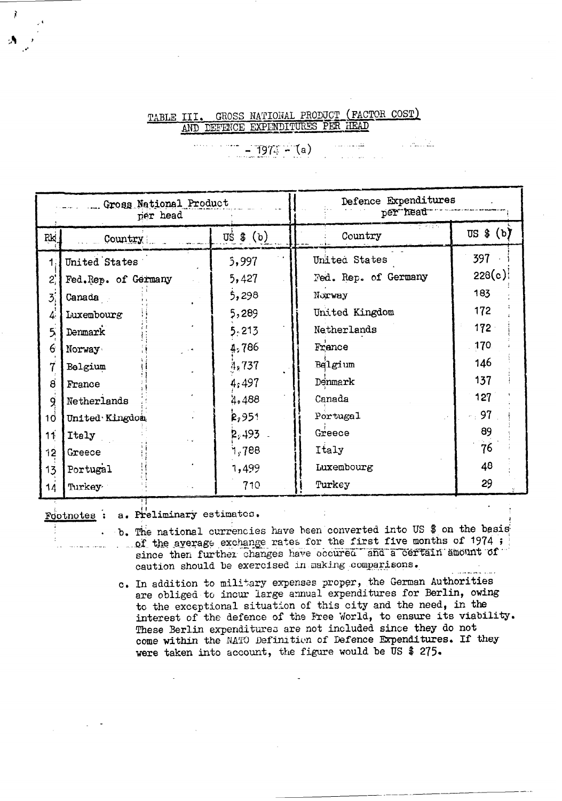#### GROSS NATIONAL PRODUCT (FACTOR COST) TABLE III. AND DEFENCE EXPENDITURES PER HEAD

للفاسيف الا

 $-1974 - (a)$ 

|                     | Gross National Product<br>per head |                                   | Defence Expenditures<br>per head |                         |  |  |  |
|---------------------|------------------------------------|-----------------------------------|----------------------------------|-------------------------|--|--|--|
| Rk.                 | Country                            | $\overline{u}$ s $\left(b\right)$ | Country                          | $\overline{u}$ s \$ (b) |  |  |  |
|                     | United States                      | 5,997                             | United States                    | 397                     |  |  |  |
| 2,                  | Fed.Rep. of Germany                | 5,427                             | Fed. Rep. of Germany             | 228(c)                  |  |  |  |
| $\mathcal{B}_i$     | Canada                             | 5,298                             | Norway                           | 183                     |  |  |  |
| 4                   | Luxembourg                         | 5,289                             | United Kingdom                   | 172                     |  |  |  |
| 5                   | Denmark                            | 5.213                             | Netherlands                      | $172 -$                 |  |  |  |
| 6                   | Norway                             | 4,786                             | France                           | 170                     |  |  |  |
| 7                   | Belgium                            | 4,737                             | Belgium                          | 146                     |  |  |  |
| $\ddot{\mathbf{g}}$ | France                             | 4,497                             | Denmark                          | 137                     |  |  |  |
| 9                   | Netherlands                        | 4,488                             | Canada                           | 127                     |  |  |  |
| $10^{\circ}$        | United Kingdon                     | R <sub>2</sub> 951                | Portugal                         | 97                      |  |  |  |
| 11                  | Italy                              | $2,493$ .                         | Greece                           | 89                      |  |  |  |
| 12                  | Greece                             | ำ, 788                            | Italy                            | 76                      |  |  |  |
| 13                  | Portugal                           | 1,499                             | Luxembourg                       | 48                      |  |  |  |
| 14                  | Turkey                             | 710                               | Turkey                           | 29                      |  |  |  |

Footnotes :

the company of the company of

a. Preliminary estimates.

- b. The national currencies have been converted into US \$ on the basis of the average exchange rates for the first five months of 1974; since then further changes have occured and a certain amount of caution should be exercised in making comparisons.
- c. In addition to military expenses proper, the German Authorities are obliged to incur large annual expenditures for Berlin, owing to the exceptional situation of this city and the need, in the interest of the defence of the Free World, to ensure its viability. These Berlin expenditures are not included since they do not come within the NATO Definition of Defence Expenditures. If they were taken into account, the figure would be US \$ 275.

ì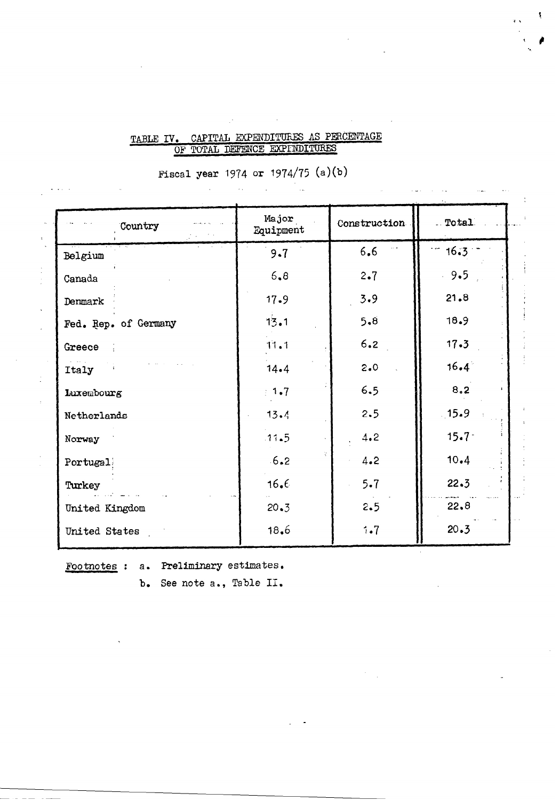## TABLE IV. CAPITAL EXPENDITURES AS PERCENTAGE OF TOTAL DEFENCE EXPINDITURES

Fiscal year 1974 or 1974/75 (a)(b)

 $\sim 100$ 

 $\bar{\mathcal{A}}$ 

| Country              | Major<br>Equipment | Construction | Total <sub>2</sub> |
|----------------------|--------------------|--------------|--------------------|
| Belgium              | 9.7                | 6.6          | $-16.3$            |
| Canada               | 6, 8               | 2.7          | 9.5                |
| Denmark              | $17 - 9$           | 3.9          | 21.8               |
| Fed. Rep. of Germany | 13.1               | 5.8          | 18.9               |
| Greece               | 11.1               | 6.2          | 17.3               |
| Italy                | 14.4               | $2 - 0$      | 16.4               |
| Luxembourg           | 1.7                | 6.5          | 8.2                |
| Netherlands          | 13.4               | 2.5          | 15.9               |
| Norway               | $.11 - 5$          | 4.2          | $15.7 -$           |
| Portugal             | 6.2                | 4.2          | 10.4               |
| Turkey               | 16.6               | $5 - 7$      | 22.3               |
| United Kingdom       | 20.3               | 2.5          | 22.8               |
| United States        | 18.6               | 1.7          | 20.3               |

 $\mathcal{L}$ 

Footnotes : a. Preliminary estimates.

b. See note a., Table II.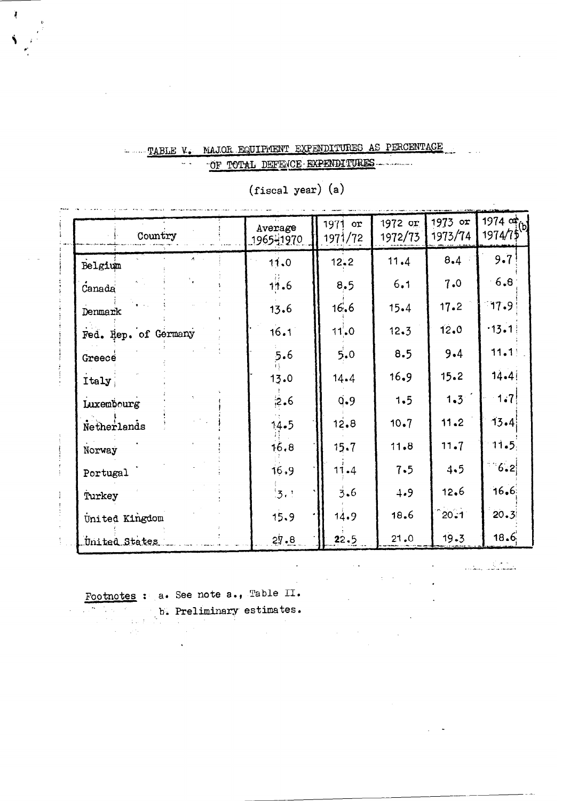# - TABLE V. MAJOR EQUIPMENT EXPENDITURES AS PERCENTAGE  $\omega(\Delta)=0$

 $\overline{a}$ 

OF TOTAL DEFENCE EXPENDITURES

| Country                  | Average<br>1965-1970 | 1971 or<br>1971/72 | 1972 or<br>1972/73 | 1973 or<br>1973/74 | 1974 or<br>1974/75 |
|--------------------------|----------------------|--------------------|--------------------|--------------------|--------------------|
| $\lambda = 1$<br>Belgium | 11.0                 | $12 - 2$           | 11.4               | 8.4                | 9.7                |
| Canada                   | 11.6                 | 8.5                | 6.1                | 7.0                | 6.8                |
| Denmark                  | 13.6                 | 16.6               | 15.4               | 17.2               | 77.9               |
| Fed. Rep. of Germany     | 16.1                 | $11'$ -0           | 12.3               | 12.0               | $-13.1$            |
| Greece                   | 5.6                  | 5.0                | 8.5                | $9 - 4$            | 11.1               |
| Italy                    | 13.0                 | $14 - 4$           | 16.9               | 15.2               | $14 - 41$          |
| Luxembourg               | 2.6                  | $\mathbf{Q}$ .9    | 1.5                | 1.3 <sup>2</sup>   | 1.7                |
| Netherlands              | 14.5                 | 12.8               | 10.7               | 11.2               | 13.4(              |
| Norway                   | 16.8                 | 15.7               | 11.8               | 11.7               | 11.5               |
| Portugal                 | 16.9                 | 11.4               | 7.5                | 4.5                | 1.6.2              |
| Turkey                   | $\frac{1}{3}$ .      | 3.6                | 4.9                | 12.6               | 16.6               |
| United Kingdom           | 15.9                 | 14.9               | 18.6               | $^{\circ}20.1$     | $20 - 3$           |
| United States            | 27.8                 | 22.5               | 21.0               | 19.3               | 18.6               |

 $\ddot{\phantom{a}}$ 

(fiscal year) (a)

المستوفي بمقال

Footnotes : a. See note a., Table II.

للومين فأنابي والمعلو

b. Preliminary estimates.